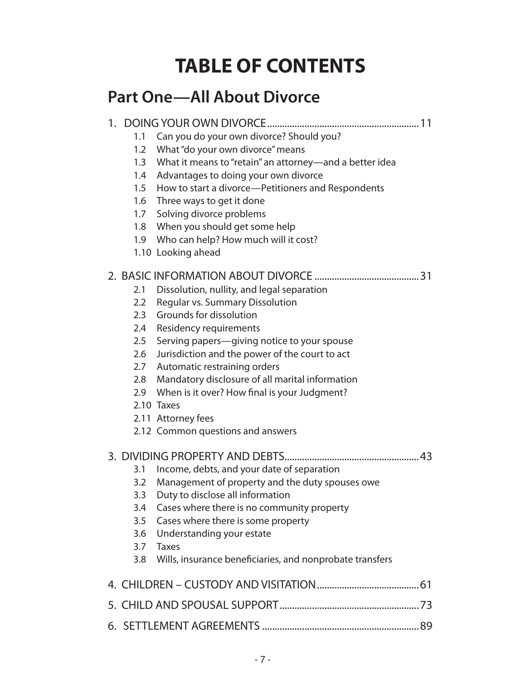## **TABLE OF CONTENTS**

### **Part One—All About Divorce**

#### 1. DOING YOUR OWN DIVORCE.............................................................11

- 1.1 Can you do your own divorce? Should you?
- 1.2 What "do your own divorce" means
- 1.3 What it means to "retain" an attorney—and a better idea
- 1.4 Advantages to doing your own divorce
- 1.5 How to start a divorce—Petitioners and Respondents
- 1.6 Three ways to get it done
- 1.7 Solving divorce problems
- 1.8 When you should get some help
- 1.9 Who can help? How much will it cost?
- 1.10 Looking ahead

#### 2. BASIC INFORMATION ABOUT DIVORCE ..........................................31

- 2.1 Dissolution, nullity, and legal separation
- 2.2 Regular vs. Summary Dissolution
- 2.3 Grounds for dissolution
- 2.4 Residency requirements
- 2.5 Serving papers—giving notice to your spouse
- 2.6 Jurisdiction and the power of the court to act
- 2.7 Automatic restraining orders
- 2.8 Mandatory disclosure of all marital information
- 2.9 When is it over? How final is your Judgment?
- 2.10 Taxes
- 2.11 Attorney fees
- 2.12 Common questions and answers

#### 3. DIVIDING PROPERTY AND DEBTS......................................................43

- 3.1 Income, debts, and your date of separation
- 3.2 Management of property and the duty spouses owe
- 3.3 Duty to disclose all information
- 3.4 Cases where there is no community property
- 3.5 Cases where there is some property
- 3.6 Understanding your estate
- 3.7 Taxes
- 3.8 Wills, insurance beneficiaries, and nonprobate transfers